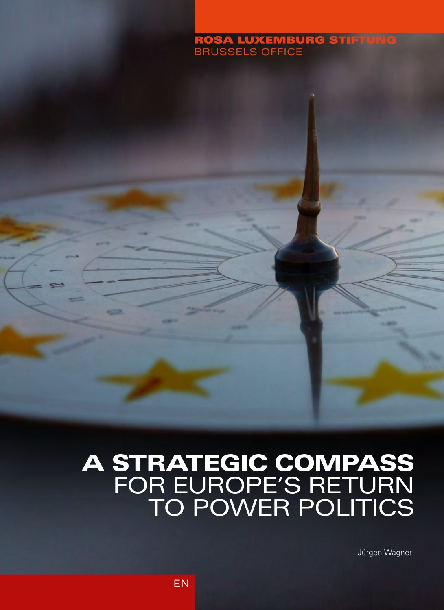# ROSA LUXEMBURG STIFTUNG

# A STRATEGIC COMPASS FOR EUROPE'S RETURN TO POWER POLITICS

Jürgen Wagner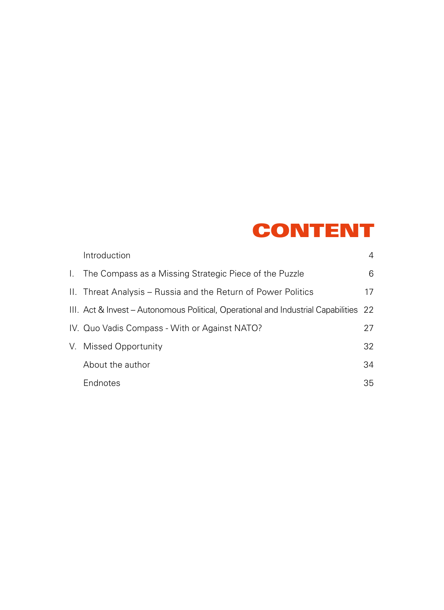## CONTENT

| Introduction                                                                         | 4  |
|--------------------------------------------------------------------------------------|----|
| I. The Compass as a Missing Strategic Piece of the Puzzle                            | 6  |
| II. Threat Analysis – Russia and the Return of Power Politics                        | 17 |
| III. Act & Invest – Autonomous Political, Operational and Industrial Capabilities 22 |    |
| IV. Quo Vadis Compass - With or Against NATO?                                        | 27 |
| V. Missed Opportunity                                                                | 32 |
| About the author                                                                     | 34 |
| Endnotes                                                                             | 35 |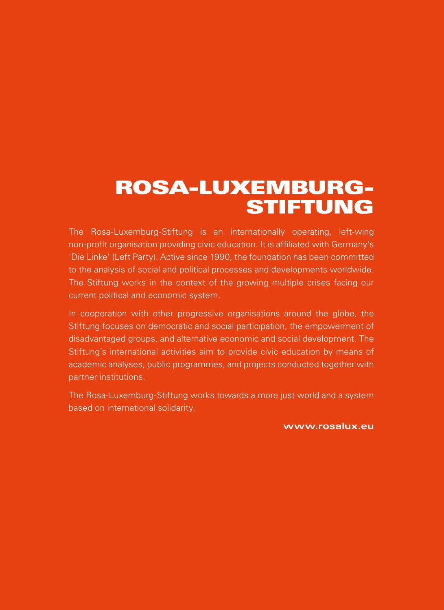## ROSA-LUXEMBURG-STIFTUNG

The Rosa-Luxemburg-Stiftung is an internationally operating, left-wing non-profit organisation providing civic education. It is affiliated with Germany's 'Die Linke' (Left Party). Active since 1990, the foundation has been committed to the analysis of social and political processes and developments worldwide. The Stiftung works in the context of the growing multiple crises facing our current political and economic system.

In cooperation with other progressive organisations around the globe, the Stiftung focuses on democratic and social participation, the empowerment of disadvantaged groups, and alternative economic and social development. The Stiftung's international activities aim to provide civic education by means of academic analyses, public programmes, and projects conducted together with partner institutions.

The Rosa-Luxemburg-Stiftung works towards a more just world and a system based on international solidarity.

**www.rosalux.eu**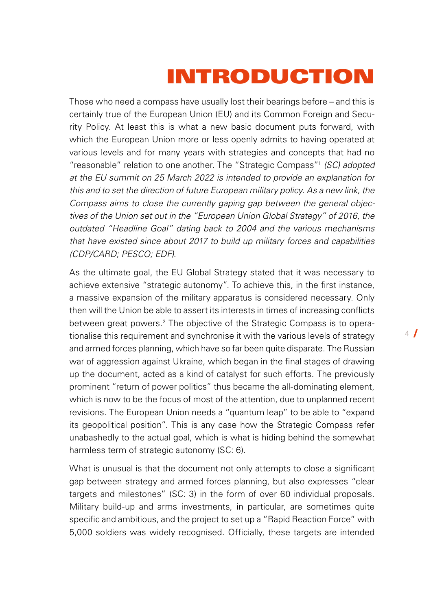# INTRODUCTION

<span id="page-3-0"></span>Those who need a compass have usually lost their bearings before – and this is certainly true of the European Union (EU) and its Common Foreign and Security Policy. At least this is what a new basic document puts forward, with which the European Union more or less openly admits to having operated at various levels and for many years with strategies and concepts that had no "reasonable" relation to one another. The "Strategic Compass["1](#page-34-0)  *(SC) adopted at the EU summit on 25 March 2022 is intended to provide an explanation for this and to set the direction of future European military policy. As a new link, the Compass aims to close the currently gaping gap between the general objectives of the Union set out in the "European Union Global Strategy" of 2016, the outdated "Headline Goal" dating back to 2004 and the various mechanisms that have existed since about 2017 to build up military forces and capabilities (CDP/CARD; PESCO; EDF).*

As the ultimate goal, the EU Global Strategy stated that it was necessary to achieve extensive "strategic autonomy". To achieve this, in the first instance, a massive expansion of the military apparatus is considered necessary. Only then will the Union be able to assert its interests in times of increasing conflicts between great powers.<sup>2</sup> The objective of the Strategic Compass is to operationalise this requirement and synchronise it with the various levels of strategy and armed forces planning, which have so far been quite disparate. The Russian war of aggression against Ukraine, which began in the final stages of drawing up the document, acted as a kind of catalyst for such efforts. The previously prominent "return of power politics" thus became the all-dominating element, which is now to be the focus of most of the attention, due to unplanned recent revisions. The European Union needs a "quantum leap" to be able to "expand its geopolitical position". This is any case how the Strategic Compass refer unabashedly to the actual goal, which is what is hiding behind the somewhat harmless term of strategic autonomy (SC: 6).

What is unusual is that the document not only attempts to close a significant gap between strategy and armed forces planning, but also expresses "clear targets and milestones" (SC: 3) in the form of over 60 individual proposals. Military build-up and arms investments, in particular, are sometimes quite specific and ambitious, and the project to set up a "Rapid Reaction Force" with 5,000 soldiers was widely recognised. Officially, these targets are intended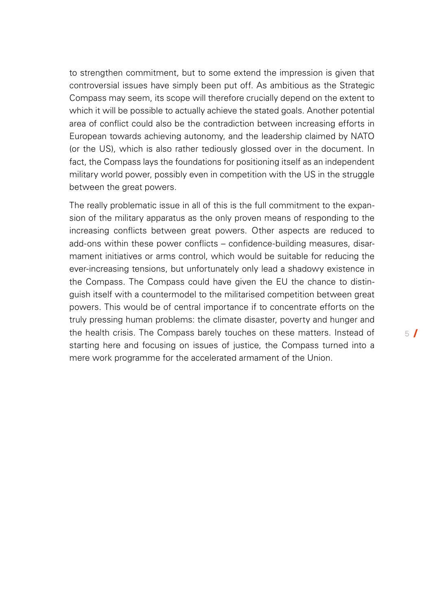to strengthen commitment, but to some extend the impression is given that controversial issues have simply been put off. As ambitious as the Strategic Compass may seem, its scope will therefore crucially depend on the extent to which it will be possible to actually achieve the stated goals. Another potential area of conflict could also be the contradiction between increasing efforts in European towards achieving autonomy, and the leadership claimed by NATO (or the US), which is also rather tediously glossed over in the document. In fact, the Compass lays the foundations for positioning itself as an independent military world power, possibly even in competition with the US in the struggle between the great powers.

The really problematic issue in all of this is the full commitment to the expansion of the military apparatus as the only proven means of responding to the increasing conflicts between great powers. Other aspects are reduced to add-ons within these power conflicts – confidence-building measures, disarmament initiatives or arms control, which would be suitable for reducing the ever-increasing tensions, but unfortunately only lead a shadowy existence in the Compass. The Compass could have given the EU the chance to distinguish itself with a countermodel to the militarised competition between great powers. This would be of central importance if to concentrate efforts on the truly pressing human problems: the climate disaster, poverty and hunger and the health crisis. The Compass barely touches on these matters. Instead of starting here and focusing on issues of justice, the Compass turned into a mere work programme for the accelerated armament of the Union.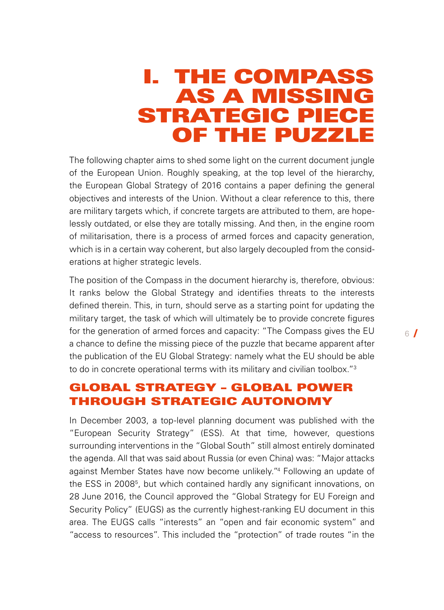## <span id="page-5-0"></span>I. THE COMPASS AS A MISSING STRATEGIC PIECE OF THE PUZZLE

The following chapter aims to shed some light on the current document jungle of the European Union. Roughly speaking, at the top level of the hierarchy, the European Global Strategy of 2016 contains a paper defining the general objectives and interests of the Union. Without a clear reference to this, there are military targets which, if concrete targets are attributed to them, are hopelessly outdated, or else they are totally missing. And then, in the engine room of militarisation, there is a process of armed forces and capacity generation, which is in a certain way coherent, but also largely decoupled from the considerations at higher strategic levels.

The position of the Compass in the document hierarchy is, therefore, obvious: It ranks below the Global Strategy and identifies threats to the interests defined therein. This, in turn, should serve as a starting point for updating the military target, the task of which will ultimately be to provide concrete figures for the generation of armed forces and capacity: "The Compass gives the EU a chance to define the missing piece of the puzzle that became apparent after the publication of the EU Global Strategy: namely what the EU should be able to do in concrete operational terms with its military and civilian toolbox."<sup>3</sup>

### GLOBAL STRATEGY – GLOBAL POWER THROUGH STRATEGIC AUTONOMY

In December 2003, a top-level planning document was published with the "European Security Strategy" (ESS). At that time, however, questions surrounding interventions in the "Global South" still almost entirely dominated the agenda. All that was said about Russia (or even China) was: "Major attacks against Member States have now become unlikely.["4](#page-34-0) Following an update of the ESS in 2008[5](#page-34-0), but which contained hardly any significant innovations, on 28 June 2016, the Council approved the "Global Strategy for EU Foreign and Security Policy" (EUGS) as the currently highest-ranking EU document in this area. The EUGS calls "interests" an "open and fair economic system" and "access to resources". This included the "protection" of trade routes "in the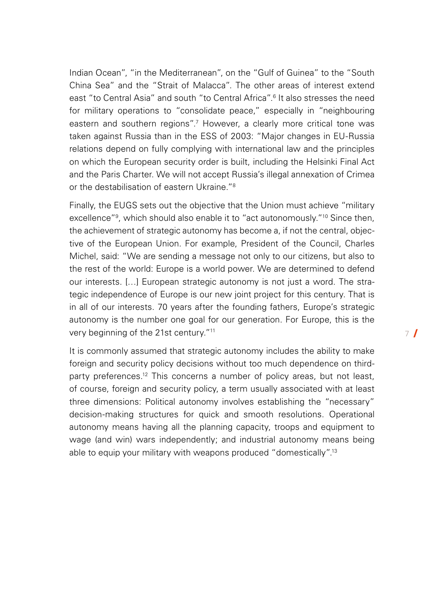<span id="page-6-0"></span>Indian Ocean", "in the Mediterranean", on the "Gulf of Guinea" to the "South China Sea" and the "Strait of Malacca". The other areas of interest extend east "to Central Asia" and south "to Central Africa".<sup>[6](#page-34-0)</sup> It also stresses the need for military operations to "consolidate peace," especially in "neighbouring eastern and southern regions".<sup>7</sup> However, a clearly more critical tone was taken against Russia than in the ESS of 2003: "Major changes in EU-Russia relations depend on fully complying with international law and the principles on which the European security order is built, including the Helsinki Final Act and the Paris Charter. We will not accept Russia's illegal annexation of Crimea or the destabilisation of eastern Ukraine."<sup>[8](#page-34-0)</sup>

Finally, the EUGS sets out the objective that the Union must achieve "military excellence"<sup>9</sup>, which should also enable it to "act autonomously."<sup>10</sup> Since then, the achievement of strategic autonomy has become a, if not the central, objective of the European Union. For example, President of the Council, Charles Michel, said: "We are sending a message not only to our citizens, but also to the rest of the world: Europe is a world power. We are determined to defend our interests. […] European strategic autonomy is not just a word. The strategic independence of Europe is our new joint project for this century. That is in all of our interests. 70 years after the founding fathers, Europe's strategic autonomy is the number one goal for our generation. For Europe, this is the very beginning of the 21st century."[11](#page-35-0)

It is commonly assumed that strategic autonomy includes the ability to make foreign and security policy decisions without too much dependence on thirdparty preferences.<sup>12</sup> This concerns a number of policy areas, but not least, of course, foreign and security policy, a term usually associated with at least three dimensions: Political autonomy involves establishing the "necessary" decision-making structures for quick and smooth resolutions. Operational autonomy means having all the planning capacity, troops and equipment to wage (and win) wars independently; and industrial autonomy means being able to equip your military with weapons produced "domestically".<sup>13</sup>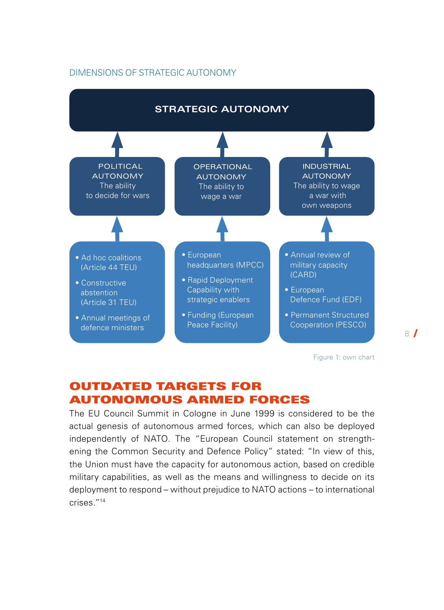#### DIMENSIONS OF STRATEGIC AUTONOMY



Figure 1: own chart

## OUTDATED TARGETS FOR AUTONOMOUS ARMED FORCES

The EU Council Summit in Cologne in June 1999 is considered to be the actual genesis of autonomous armed forces, which can also be deployed independently of NATO. The "European Council statement on strengthening the Common Security and Defence Policy" stated: "In view of this, the Union must have the capacity for autonomous action, based on credible military capabilities, as well as the means and willingness to decide on its deployment to respond – without prejudice to NATO actions – to international crises.["14](#page-35-0)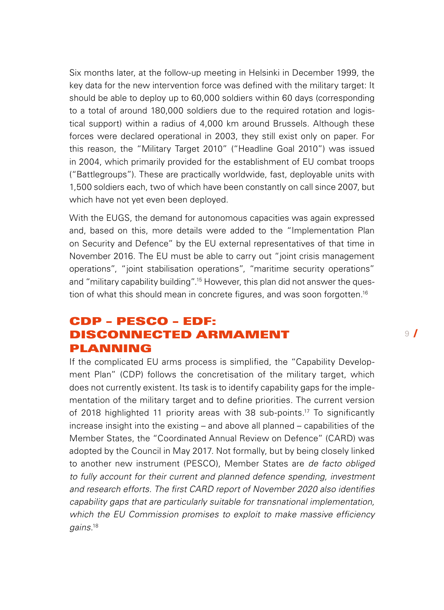Six months later, at the follow-up meeting in Helsinki in December 1999, the key data for the new intervention force was defined with the military target: It should be able to deploy up to 60,000 soldiers within 60 days (corresponding to a total of around 180,000 soldiers due to the required rotation and logistical support) within a radius of 4,000 km around Brussels. Although these forces were declared operational in 2003, they still exist only on paper. For this reason, the "Military Target 2010" ("Headline Goal 2010") was issued in 2004, which primarily provided for the establishment of EU combat troops ("Battlegroups"). These are practically worldwide, fast, deployable units with 1,500 soldiers each, two of which have been constantly on call since 2007, but which have not yet even been deployed.

With the EUGS, the demand for autonomous capacities was again expressed and, based on this, more details were added to the "Implementation Plan on Security and Defence" by the EU external representatives of that time in November 2016. The EU must be able to carry out "joint crisis management operations", "joint stabilisation operations", "maritime security operations" and "military capability building".<sup>15</sup> However, this plan did not answer the question of what this should mean in concrete figures, and was soon forgotten.<sup>16</sup>

## CDP – PESCO – EDF: DISCONNECTED ARMAMENT PLANNING

If the complicated EU arms process is simplified, the "Capability Development Plan" (CDP) follows the concretisation of the military target, which does not currently existent. Its task is to identify capability gaps for the implementation of the military target and to define priorities. The current version of 2018 highlighted 11 priority areas with 38 sub-points[.17](#page-35-0) To significantly increase insight into the existing – and above all planned – capabilities of the Member States, the "Coordinated Annual Review on Defence" (CARD) was adopted by the Council in May 2017. Not formally, but by being closely linked to another new instrument (PESCO), Member States are *de facto obliged to fully account for their current and planned defence spending, investment and research efforts. The first CARD report of November 2020 also identifies capability gaps that are particularly suitable for transnational implementation, which the EU Commission promises to exploit to make massive efficiency gains.*[18](#page-35-0)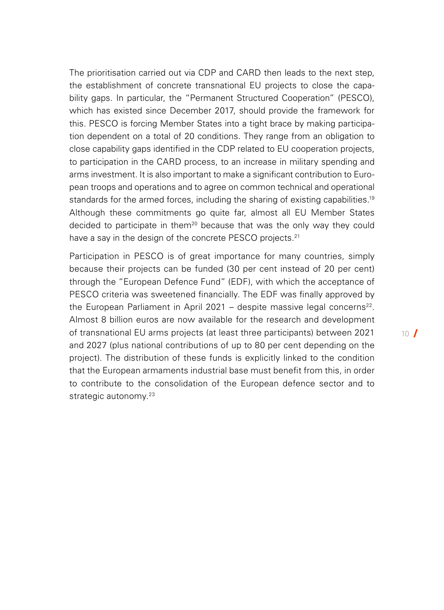The prioritisation carried out via CDP and CARD then leads to the next step, the establishment of concrete transnational EU projects to close the capability gaps. In particular, the "Permanent Structured Cooperation" (PESCO), which has existed since December 2017, should provide the framework for this. PESCO is forcing Member States into a tight brace by making participation dependent on a total of 20 conditions. They range from an obligation to close capability gaps identified in the CDP related to EU cooperation projects, to participation in the CARD process, to an increase in military spending and arms investment. It is also important to make a significant contribution to European troops and operations and to agree on common technical and operational standards for the armed forces, including the sharing of existing capabilities.<sup>19</sup> Although these commitments go quite far, almost all EU Member States decided to participate in them<sup>20</sup> because that was the only way they could have a say in the design of the concrete PESCO projects.<sup>[21](#page-36-0)</sup>

Participation in PESCO is of great importance for many countries, simply because their projects can be funded (30 per cent instead of 20 per cent) through the "European Defence Fund" (EDF), with which the acceptance of PESCO criteria was sweetened financially. The EDF was finally approved by the European Parliament in April 2021 - despite massive legal concerns<sup>[22](#page-36-0)</sup>. Almost 8 billion euros are now available for the research and development of transnational EU arms projects (at least three participants) between 2021 and 2027 (plus national contributions of up to 80 per cent depending on the project). The distribution of these funds is explicitly linked to the condition that the European armaments industrial base must benefit from this, in order to contribute to the consolidation of the European defence sector and to strategic autonomy.<sup>[23](#page-36-0)</sup>

 $10<sup>1</sup>$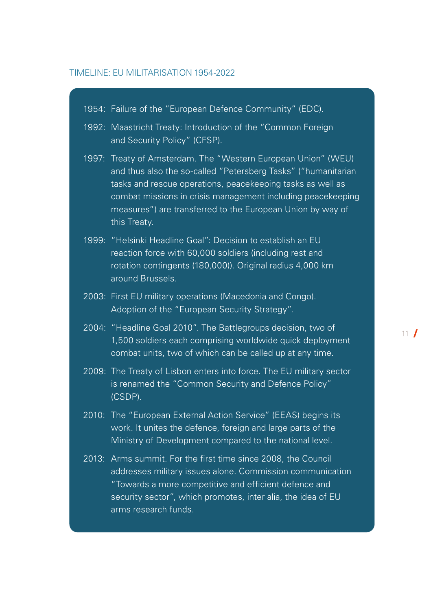#### TIMELINE: EU MILITARISATION 1954-2022

|       | 1954: Failure of the "European Defence Community" (EDC).                                                                                                                                                                                                                                                                            |
|-------|-------------------------------------------------------------------------------------------------------------------------------------------------------------------------------------------------------------------------------------------------------------------------------------------------------------------------------------|
|       | 1992: Maastricht Treaty: Introduction of the "Common Foreign<br>and Security Policy" (CFSP).                                                                                                                                                                                                                                        |
| 1997: | Treaty of Amsterdam. The "Western European Union" (WEU)<br>and thus also the so-called "Petersberg Tasks" ("humanitarian<br>tasks and rescue operations, peacekeeping tasks as well as<br>combat missions in crisis management including peacekeeping<br>measures") are transferred to the European Union by way of<br>this Treaty. |
|       | 1999: "Helsinki Headline Goal": Decision to establish an EU<br>reaction force with 60,000 soldiers (including rest and<br>rotation contingents (180,000)). Original radius 4,000 km<br>around Brussels.                                                                                                                             |
|       | 2003: First EU military operations (Macedonia and Congo).<br>Adoption of the "European Security Strategy".                                                                                                                                                                                                                          |
|       | 2004: "Headline Goal 2010". The Battlegroups decision, two of<br>1,500 soldiers each comprising worldwide quick deployment<br>combat units, two of which can be called up at any time.                                                                                                                                              |
|       | 2009: The Treaty of Lisbon enters into force. The EU military sector<br>is renamed the "Common Security and Defence Policy"<br>(CSDP).                                                                                                                                                                                              |
|       | 2010: The "European External Action Service" (EEAS) begins its<br>work. It unites the defence, foreign and large parts of the<br>Ministry of Development compared to the national level.                                                                                                                                            |
|       | 2013: Arms summit. For the first time since 2008, the Council<br>addresses military issues alone. Commission communication<br>"Towards a more competitive and efficient defence and<br>security sector", which promotes, inter alia, the idea of EU<br>arms research funds.                                                         |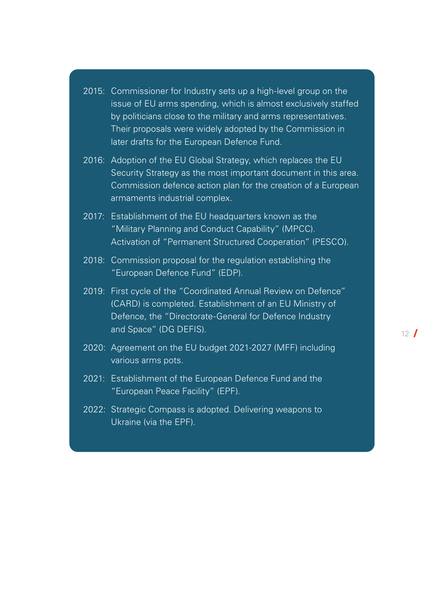| 2015: Commissioner for Industry sets up a high-level group on the |
|-------------------------------------------------------------------|
| issue of EU arms spending, which is almost exclusively staffed    |
| by politicians close to the military and arms representatives.    |
| Their proposals were widely adopted by the Commission in          |
| later drafts for the European Defence Fund.                       |

- 2016: Adoption of the EU Global Strategy, which replaces the EU Security Strategy as the most important document in this area. Commission defence action plan for the creation of a European armaments industrial complex.
- 2017: Establishment of the EU headquarters known as the "Military Planning and Conduct Capability" (MPCC). Activation of "Permanent Structured Cooperation" (PESCO).
- 2018: Commission proposal for the regulation establishing the "European Defence Fund" (EDP).
- 2019: First cycle of the "Coordinated Annual Review on Defence" (CARD) is completed. Establishment of an EU Ministry of Defence, the "Directorate-General for Defence Industry and Space" (DG DEFIS).
- 2020: Agreement on the EU budget 2021-2027 (MFF) including various arms pots.
- 2021: Establishment of the European Defence Fund and the "European Peace Facility" (EPF).
- 2022: Strategic Compass is adopted. Delivering weapons to Ukraine (via the EPF).

 $12<sup>1</sup>$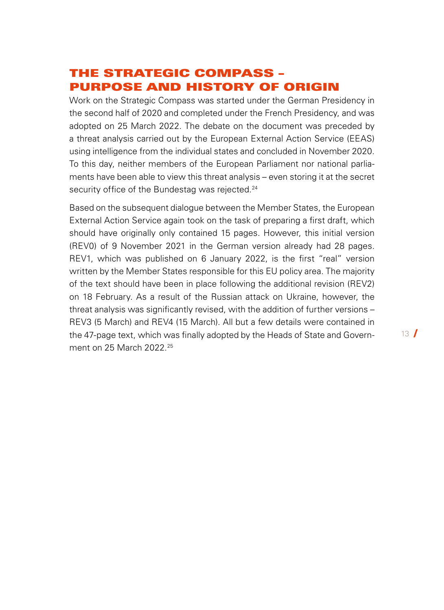## THE STRATEGIC COMPASS – PURPOSE AND HISTORY OF ORIGIN

Work on the Strategic Compass was started under the German Presidency in the second half of 2020 and completed under the French Presidency, and was adopted on 25 March 2022. The debate on the document was preceded by a threat analysis carried out by the European External Action Service (EEAS) using intelligence from the individual states and concluded in November 2020. To this day, neither members of the European Parliament nor national parliaments have been able to view this threat analysis – even storing it at the secret security office of the Bundestag was rejected.<sup>24</sup>

Based on the subsequent dialogue between the Member States, the European External Action Service again took on the task of preparing a first draft, which should have originally only contained 15 pages. However, this initial version (REV0) of 9 November 2021 in the German version already had 28 pages. REV1, which was published on 6 January 2022, is the first "real" version written by the Member States responsible for this EU policy area. The majority of the text should have been in place following the additional revision (REV2) on 18 February. As a result of the Russian attack on Ukraine, however, the threat analysis was significantly revised, with the addition of further versions – REV3 (5 March) and REV4 (15 March). All but a few details were contained in the 47-page text, which was finally adopted by the Heads of State and Govern-ment on [25](#page-36-0) March 2022.<sup>25</sup>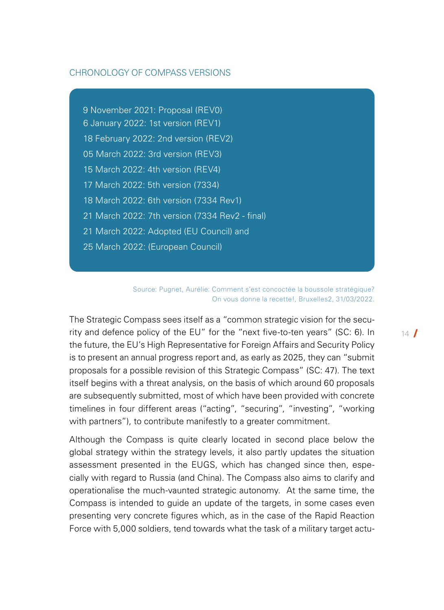#### CHRONOLOGY OF COMPASS VERSIONS

9 November 2021: Proposal (REV0) 6 January 2022: 1st version (REV1) 18 February 2022: 2nd version (REV2) 05 March 2022: 3rd version (REV3) 15 March 2022: 4th version (REV4) 17 March 2022: 5th version (7334) 18 March 2022: 6th version (7334 Rev1) 21 March 2022: 7th version (7334 Rev2 - final) 21 March 2022: Adopted (EU Council) and 25 March 2022: (European Council)

> Source: Pugnet, Aurélie: Comment s'est concoctée la boussole stratégique? On vous donne la recette!, [Bruxelles2](https://club.bruxelles2.eu/2022/03/comment-sest-concoctee-la-boussole-strategique-on-vous-donne-la-recette/), 31/03/2022.

The Strategic Compass sees itself as a "common strategic vision for the security and defence policy of the EU" for the "next five-to-ten years" (SC: 6). In the future, the EU's High Representative for Foreign Affairs and Security Policy is to present an annual progress report and, as early as 2025, they can "submit proposals for a possible revision of this Strategic Compass" (SC: 47). The text itself begins with a threat analysis, on the basis of which around 60 proposals are subsequently submitted, most of which have been provided with concrete timelines in four different areas ("acting", "securing", "investing", "working with partners"), to contribute manifestly to a greater commitment.

Although the Compass is quite clearly located in second place below the global strategy within the strategy levels, it also partly updates the situation assessment presented in the EUGS, which has changed since then, especially with regard to Russia (and China). The Compass also aims to clarify and operationalise the much-vaunted strategic autonomy. At the same time, the Compass is intended to guide an update of the targets, in some cases even presenting very concrete figures which, as in the case of the Rapid Reaction Force with 5,000 soldiers, tend towards what the task of a military target actu $14$   $\sqrt{ }$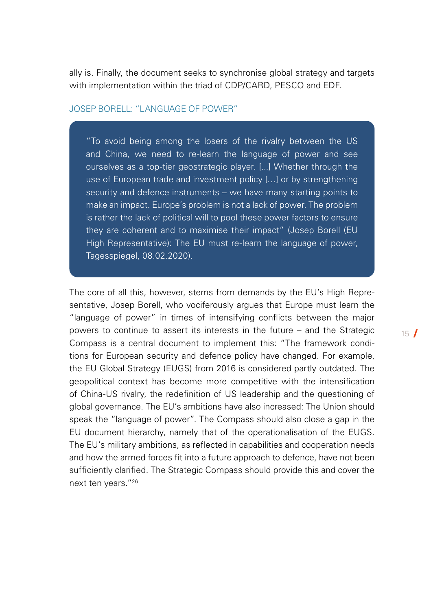ally is. Finally, the document seeks to synchronise global strategy and targets with implementation within the triad of CDP/CARD, PESCO and EDF.

#### JOSEP BORELL: "LANGUAGE OF POWER"

"To avoid being among the losers of the rivalry between the US and China, we need to re-learn the language of power and see ourselves as a top-tier geostrategic player. [...] Whether through the use of European trade and investment policy […] or by strengthening security and defence instruments – we have many starting points to make an impact. Europe's problem is not a lack of power. The problem is rather the lack of political will to pool these power factors to ensure they are coherent and to maximise their impact" (Josep Borell (EU High Representative): The EU must re-learn the language of power, Tagesspiegel, 08.02.2020).

The core of all this, however, stems from demands by the EU's High Representative, Josep Borell, who vociferously argues that Europe must learn the "language of power" in times of intensifying conflicts between the major powers to continue to assert its interests in the future – and the Strategic Compass is a central document to implement this: "The framework conditions for European security and defence policy have changed. For example, the EU Global Strategy (EUGS) from 2016 is considered partly outdated. The geopolitical context has become more competitive with the intensification of China-US rivalry, the redefinition of US leadership and the questioning of global governance. The EU's ambitions have also increased: The Union should speak the "language of power". The Compass should also close a gap in the EU document hierarchy, namely that of the operationalisation of the EUGS. The EU's military ambitions, as reflected in capabilities and cooperation needs and how the armed forces fit into a future approach to defence, have not been sufficiently clarified. The Strategic Compass should provide this and cover the next ten years."[26](#page-36-0)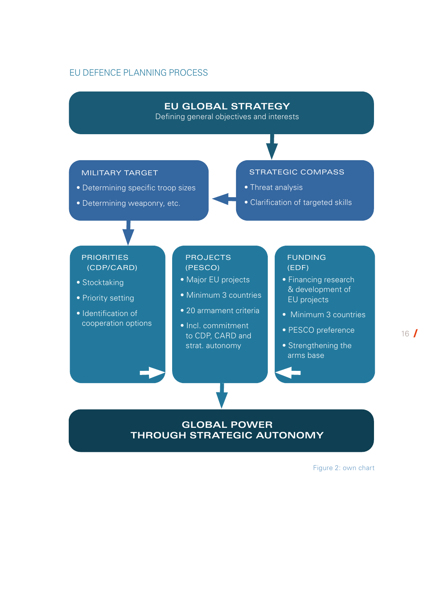#### EU DEFENCE PLANNING PROCESS

#### **EU GLOBAL STRATEGY**

Defining general objectives and interests

#### MILITARY TARGET

- Determining specific troop sizes
- Determining weaponry, etc.

#### STRATEGIC COMPASS

- Threat analysis
- Clarification of targeted skills

#### PRIORITIES (CDP/CARD)

- Stocktaking
- Priority setting
- Identification of cooperation options

#### **PROJECTS** (PESCO)

- Major EU projects
- Minimum 3 countries
- 20 armament criteria
- Incl. commitment to CDP, CARD and strat. autonomy

#### FUNDING (EDF)

- Financing research & development of EU projects
- Minimum 3 countries
- PESCO preference
- Strengthening the arms base

#### **GLOBAL POWER THROUGH STRATEGIC AUTONOMY**

Figure 2: own chart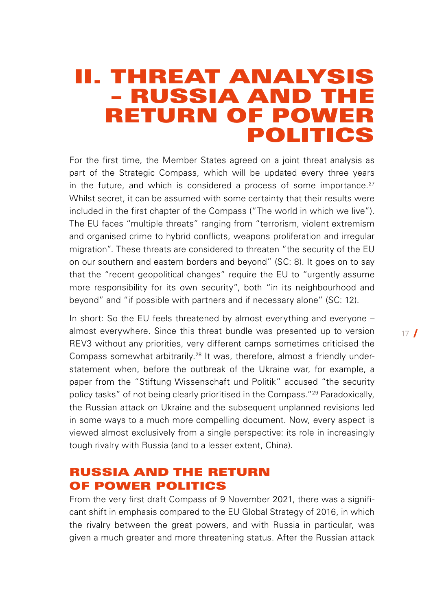## <span id="page-16-0"></span>II. THREAT ANALYSIS – RUSSIA AND THE RETURN OF POWER POLITICS

For the first time, the Member States agreed on a joint threat analysis as part of the Strategic Compass, which will be updated every three years in the future, and which is considered a process of some importance. $27$ Whilst secret, it can be assumed with some certainty that their results were included in the first chapter of the Compass ("The world in which we live"). The EU faces "multiple threats" ranging from "terrorism, violent extremism and organised crime to hybrid conflicts, weapons proliferation and irregular migration". These threats are considered to threaten "the security of the EU on our southern and eastern borders and beyond" (SC: 8). It goes on to say that the "recent geopolitical changes" require the EU to "urgently assume more responsibility for its own security", both "in its neighbourhood and beyond" and "if possible with partners and if necessary alone" (SC: 12).

In short: So the EU feels threatened by almost everything and everyone – almost everywhere. Since this threat bundle was presented up to version REV3 without any priorities, very different camps sometimes criticised the Compass somewhat arbitrarily.[28](#page-37-0) It was, therefore, almost a friendly understatement when, before the outbreak of the Ukraine war, for example, a paper from the "Stiftung Wissenschaft und Politik" accused "the security policy tasks" of not being clearly prioritised in the Compass."[29](#page-37-0) Paradoxically, the Russian attack on Ukraine and the subsequent unplanned revisions led in some ways to a much more compelling document. Now, every aspect is viewed almost exclusively from a single perspective: its role in increasingly tough rivalry with Russia (and to a lesser extent, China).

### RUSSIA AND THE RETURN OF POWER POLITICS

From the very first draft Compass of 9 November 2021, there was a significant shift in emphasis compared to the EU Global Strategy of 2016, in which the rivalry between the great powers, and with Russia in particular, was given a much greater and more threatening status. After the Russian attack  $17<sup>1</sup>$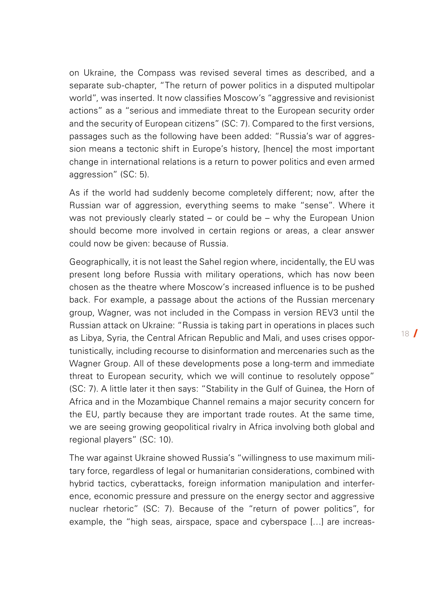on Ukraine, the Compass was revised several times as described, and a separate sub-chapter, "The return of power politics in a disputed multipolar world", was inserted. It now classifies Moscow's "aggressive and revisionist actions" as a "serious and immediate threat to the European security order and the security of European citizens" (SC: 7). Compared to the first versions, passages such as the following have been added: "Russia's war of aggression means a tectonic shift in Europe's history, [hence] the most important change in international relations is a return to power politics and even armed aggression" (SC: 5).

As if the world had suddenly become completely different; now, after the Russian war of aggression, everything seems to make "sense". Where it was not previously clearly stated – or could be – why the European Union should become more involved in certain regions or areas, a clear answer could now be given: because of Russia.

Geographically, it is not least the Sahel region where, incidentally, the EU was present long before Russia with military operations, which has now been chosen as the theatre where Moscow's increased influence is to be pushed back. For example, a passage about the actions of the Russian mercenary group, Wagner, was not included in the Compass in version REV3 until the Russian attack on Ukraine: "Russia is taking part in operations in places such as Libya, Syria, the Central African Republic and Mali, and uses crises opportunistically, including recourse to disinformation and mercenaries such as the Wagner Group. All of these developments pose a long-term and immediate threat to European security, which we will continue to resolutely oppose" (SC: 7). A little later it then says: "Stability in the Gulf of Guinea, the Horn of Africa and in the Mozambique Channel remains a major security concern for the EU, partly because they are important trade routes. At the same time, we are seeing growing geopolitical rivalry in Africa involving both global and regional players" (SC: 10).

The war against Ukraine showed Russia's "willingness to use maximum military force, regardless of legal or humanitarian considerations, combined with hybrid tactics, cyberattacks, foreign information manipulation and interference, economic pressure and pressure on the energy sector and aggressive nuclear rhetoric" (SC: 7). Because of the "return of power politics", for example, the "high seas, airspace, space and cyberspace […] are increas-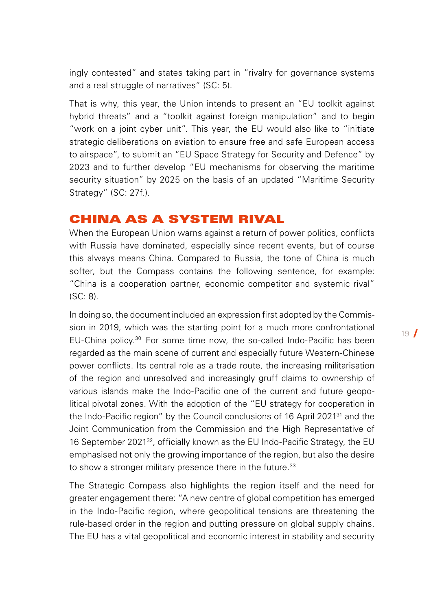ingly contested" and states taking part in "rivalry for governance systems and a real struggle of narratives" (SC: 5).

That is why, this year, the Union intends to present an "EU toolkit against hybrid threats" and a "toolkit against foreign manipulation" and to begin "work on a joint cyber unit". This year, the EU would also like to "initiate strategic deliberations on aviation to ensure free and safe European access to airspace", to submit an "EU Space Strategy for Security and Defence" by 2023 and to further develop "EU mechanisms for observing the maritime security situation" by 2025 on the basis of an updated "Maritime Security Strategy" (SC: 27f.).

### CHINA AS A SYSTEM RIVAL

When the European Union warns against a return of power politics, conflicts with Russia have dominated, especially since recent events, but of course this always means China. Compared to Russia, the tone of China is much softer, but the Compass contains the following sentence, for example: "China is a cooperation partner, economic competitor and systemic rival" (SC: 8).

In doing so, the document included an expression first adopted by the Commission in 2019, which was the starting point for a much more confrontational EU-China policy.[30](#page-37-0) For some time now, the so-called Indo-Pacific has been regarded as the main scene of current and especially future Western-Chinese power conflicts. Its central role as a trade route, the increasing militarisation of the region and unresolved and increasingly gruff claims to ownership of various islands make the Indo-Pacific one of the current and future geopolitical pivotal zones. With the adoption of the "EU strategy for cooperation in the Indo-Pacific region" by the Council conclusions of 16 April 2021<sup>31</sup> and the Joint Communication from the Commission and the High Representative of 16 September 2021<sup>32</sup>, officially known as the EU Indo-Pacific Strategy, the EU emphasised not only the growing importance of the region, but also the desire to show a stronger military presence there in the future.<sup>[33](#page-37-0)</sup>

The Strategic Compass also highlights the region itself and the need for greater engagement there: "A new centre of global competition has emerged in the Indo-Pacific region, where geopolitical tensions are threatening the rule-based order in the region and putting pressure on global supply chains. The EU has a vital geopolitical and economic interest in stability and security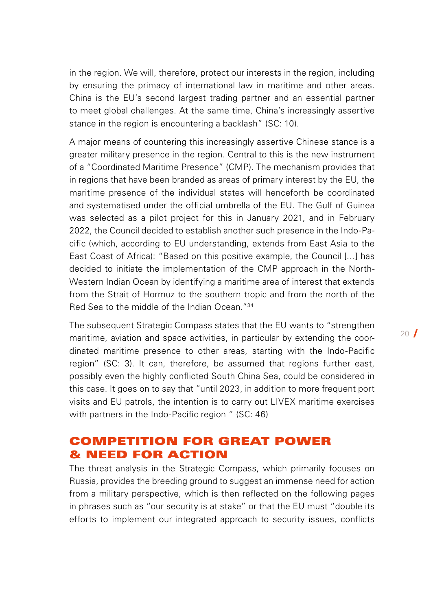in the region. We will, therefore, protect our interests in the region, including by ensuring the primacy of international law in maritime and other areas. China is the EU's second largest trading partner and an essential partner to meet global challenges. At the same time, China's increasingly assertive stance in the region is encountering a backlash" (SC: 10).

A major means of countering this increasingly assertive Chinese stance is a greater military presence in the region. Central to this is the new instrument of a "Coordinated Maritime Presence" (CMP). The mechanism provides that in regions that have been branded as areas of primary interest by the EU, the maritime presence of the individual states will henceforth be coordinated and systematised under the official umbrella of the EU. The Gulf of Guinea was selected as a pilot project for this in January 2021, and in February 2022, the Council decided to establish another such presence in the Indo-Pacific (which, according to EU understanding, extends from East Asia to the East Coast of Africa): "Based on this positive example, the Council […] has decided to initiate the implementation of the CMP approach in the North-Western Indian Ocean by identifying a maritime area of interest that extends from the Strait of Hormuz to the southern tropic and from the north of the Red Sea to the middle of the Indian Ocean."[34](#page-37-0)

The subsequent Strategic Compass states that the EU wants to "strengthen maritime, aviation and space activities, in particular by extending the coordinated maritime presence to other areas, starting with the Indo-Pacific region" (SC: 3). It can, therefore, be assumed that regions further east, possibly even the highly conflicted South China Sea, could be considered in this case. It goes on to say that "until 2023, in addition to more frequent port visits and EU patrols, the intention is to carry out LIVEX maritime exercises with partners in the Indo-Pacific region " (SC: 46)

## COMPETITION FOR GREAT POWER & NEED FOR ACTION

The threat analysis in the Strategic Compass, which primarily focuses on Russia, provides the breeding ground to suggest an immense need for action from a military perspective, which is then reflected on the following pages in phrases such as "our security is at stake" or that the EU must "double its efforts to implement our integrated approach to security issues, conflicts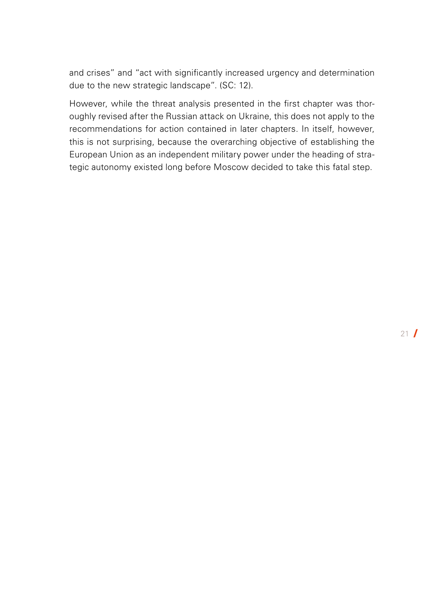and crises" and "act with significantly increased urgency and determination due to the new strategic landscape". (SC: 12).

However, while the threat analysis presented in the first chapter was thoroughly revised after the Russian attack on Ukraine, this does not apply to the recommendations for action contained in later chapters. In itself, however, this is not surprising, because the overarching objective of establishing the European Union as an independent military power under the heading of strategic autonomy existed long before Moscow decided to take this fatal step.

 $21$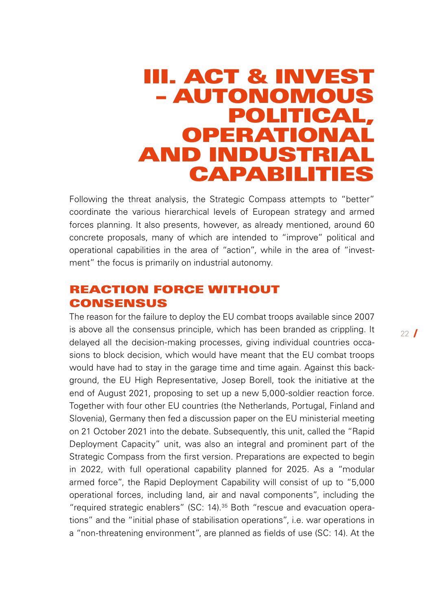## <span id="page-21-0"></span>III. ACT & INVEST – AUTONOMOUS POLITICAL, OPERATIONAL AND INDUSTRIAL CAPABILITIES

Following the threat analysis, the Strategic Compass attempts to "better" coordinate the various hierarchical levels of European strategy and armed forces planning. It also presents, however, as already mentioned, around 60 concrete proposals, many of which are intended to "improve" political and operational capabilities in the area of "action", while in the area of "investment" the focus is primarily on industrial autonomy.

### REACTION FORCE WITHOUT **CONSENSUS**

The reason for the failure to deploy the EU combat troops available since 2007 is above all the consensus principle, which has been branded as crippling. It delayed all the decision-making processes, giving individual countries occasions to block decision, which would have meant that the EU combat troops would have had to stay in the garage time and time again. Against this background, the EU High Representative, Josep Borell, took the initiative at the end of August 2021, proposing to set up a new 5,000-soldier reaction force. Together with four other EU countries (the Netherlands, Portugal, Finland and Slovenia), Germany then fed a discussion paper on the EU ministerial meeting on 21 October 2021 into the debate. Subsequently, this unit, called the "Rapid Deployment Capacity" unit, was also an integral and prominent part of the Strategic Compass from the first version. Preparations are expected to begin in 2022, with full operational capability planned for 2025. As a "modular armed force", the Rapid Deployment Capability will consist of up to "5,000 operational forces, including land, air and naval components", including the "required strategic enablers" (SC: 14)[.35](#page-37-0) Both "rescue and evacuation operations" and the "initial phase of stabilisation operations", i.e. war operations in a "non-threatening environment", are planned as fields of use (SC: 14). At the

 $22<sup>7</sup>$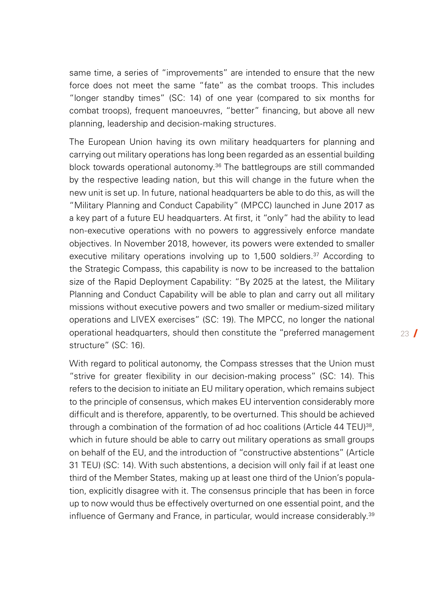same time, a series of "improvements" are intended to ensure that the new force does not meet the same "fate" as the combat troops. This includes "longer standby times" (SC: 14) of one year (compared to six months for combat troops), frequent manoeuvres, "better" financing, but above all new planning, leadership and decision-making structures.

The European Union having its own military headquarters for planning and carrying out military operations has long been regarded as an essential building block towards operational autonomy.<sup>[36](#page-37-0)</sup> The battlegroups are still commanded by the respective leading nation, but this will change in the future when the new unit is set up. In future, national headquarters be able to do this, as will the "Military Planning and Conduct Capability" (MPCC) launched in June 2017 as a key part of a future EU headquarters. At first, it "only" had the ability to lead non-executive operations with no powers to aggressively enforce mandate objectives. In November 2018, however, its powers were extended to smaller executive military operations involving up to 1.500 soldiers.<sup>[37](#page-37-0)</sup> According to the Strategic Compass, this capability is now to be increased to the battalion size of the Rapid Deployment Capability: "By 2025 at the latest, the Military Planning and Conduct Capability will be able to plan and carry out all military missions without executive powers and two smaller or medium-sized military operations and LIVEX exercises" (SC: 19). The MPCC, no longer the national operational headquarters, should then constitute the "preferred management structure" (SC: 16).

With regard to political autonomy, the Compass stresses that the Union must "strive for greater flexibility in our decision-making process" (SC: 14). This refers to the decision to initiate an EU military operation, which remains subject to the principle of consensus, which makes EU intervention considerably more difficult and is therefore, apparently, to be overturned. This should be achieved through a combination of the formation of ad hoc coalitions (Article 44 TEU)<sup>[38](#page-38-0)</sup>. which in future should be able to carry out military operations as small groups on behalf of the EU, and the introduction of "constructive abstentions" (Article 31 TEU) (SC: 14). With such abstentions, a decision will only fail if at least one third of the Member States, making up at least one third of the Union's population, explicitly disagree with it. The consensus principle that has been in force up to now would thus be effectively overturned on one essential point, and the influence of Germany and France, in particular, would increase considerably.<sup>[39](#page-38-0)</sup>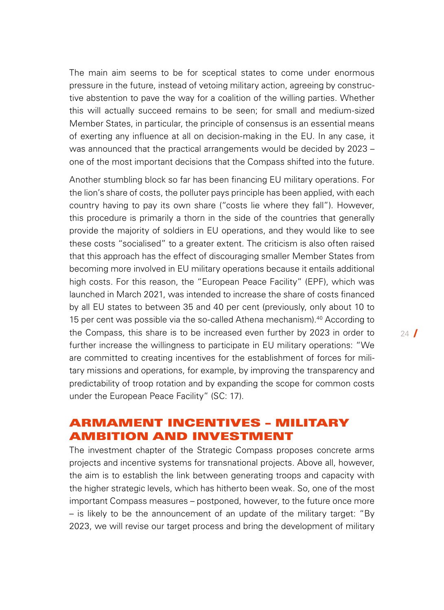The main aim seems to be for sceptical states to come under enormous pressure in the future, instead of vetoing military action, agreeing by constructive abstention to pave the way for a coalition of the willing parties. Whether this will actually succeed remains to be seen; for small and medium-sized Member States, in particular, the principle of consensus is an essential means of exerting any influence at all on decision-making in the EU. In any case, it was announced that the practical arrangements would be decided by 2023 – one of the most important decisions that the Compass shifted into the future.

Another stumbling block so far has been financing EU military operations. For the lion's share of costs, the polluter pays principle has been applied, with each country having to pay its own share ("costs lie where they fall"). However, this procedure is primarily a thorn in the side of the countries that generally provide the majority of soldiers in EU operations, and they would like to see these costs "socialised" to a greater extent. The criticism is also often raised that this approach has the effect of discouraging smaller Member States from becoming more involved in EU military operations because it entails additional high costs. For this reason, the "European Peace Facility" (EPF), which was launched in March 2021, was intended to increase the share of costs financed by all EU states to between 35 and 40 per cent (previously, only about 10 to 15 per cent was possible via the so-called Athena mechanism)[.40](#page-38-0) According to the Compass, this share is to be increased even further by 2023 in order to further increase the willingness to participate in EU military operations: "We are committed to creating incentives for the establishment of forces for military missions and operations, for example, by improving the transparency and predictability of troop rotation and by expanding the scope for common costs under the European Peace Facility" (SC: 17).

### ARMAMENT INCENTIVES – MILITARY AMBITION AND INVESTMENT

The investment chapter of the Strategic Compass proposes concrete arms projects and incentive systems for transnational projects. Above all, however, the aim is to establish the link between generating troops and capacity with the higher strategic levels, which has hitherto been weak. So, one of the most important Compass measures – postponed, however, to the future once more – is likely to be the announcement of an update of the military target: "By 2023, we will revise our target process and bring the development of military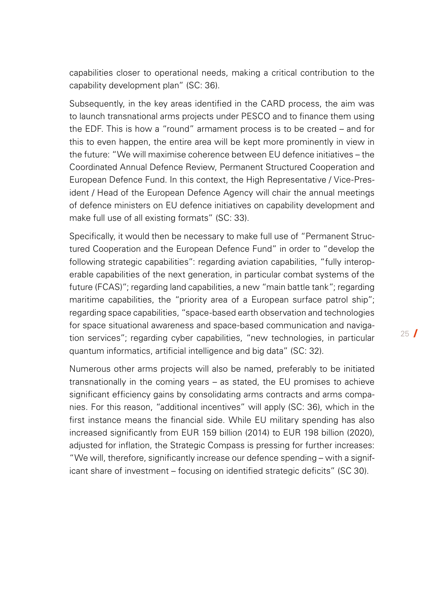capabilities closer to operational needs, making a critical contribution to the capability development plan" (SC: 36).

Subsequently, in the key areas identified in the CARD process, the aim was to launch transnational arms projects under PESCO and to finance them using the EDF. This is how a "round" armament process is to be created – and for this to even happen, the entire area will be kept more prominently in view in the future: "We will maximise coherence between EU defence initiatives – the Coordinated Annual Defence Review, Permanent Structured Cooperation and European Defence Fund. In this context, the High Representative / Vice-President / Head of the European Defence Agency will chair the annual meetings of defence ministers on EU defence initiatives on capability development and make full use of all existing formats" (SC: 33).

Specifically, it would then be necessary to make full use of "Permanent Structured Cooperation and the European Defence Fund" in order to "develop the following strategic capabilities": regarding aviation capabilities, "fully interoperable capabilities of the next generation, in particular combat systems of the future (FCAS)"; regarding land capabilities, a new "main battle tank"; regarding maritime capabilities, the "priority area of a European surface patrol ship"; regarding space capabilities, "space-based earth observation and technologies for space situational awareness and space-based communication and navigation services"; regarding cyber capabilities, "new technologies, in particular quantum informatics, artificial intelligence and big data" (SC: 32).

Numerous other arms projects will also be named, preferably to be initiated transnationally in the coming years – as stated, the EU promises to achieve significant efficiency gains by consolidating arms contracts and arms companies. For this reason, "additional incentives" will apply (SC: 36), which in the first instance means the financial side. While EU military spending has also increased significantly from EUR 159 billion (2014) to EUR 198 billion (2020), adjusted for inflation, the Strategic Compass is pressing for further increases: "We will, therefore, significantly increase our defence spending – with a significant share of investment – focusing on identified strategic deficits" (SC 30).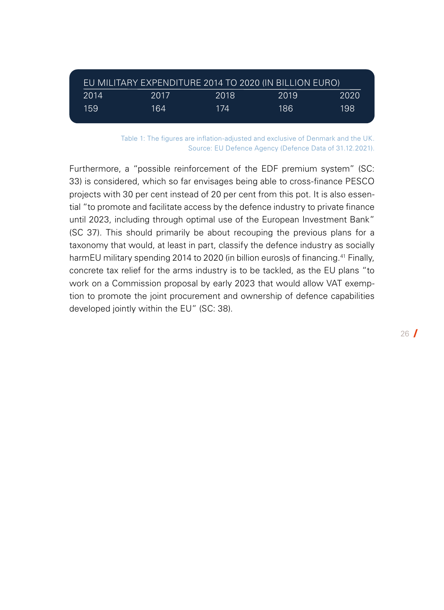| 'EU MILITARY EXPENDITURE 2014 TO 2020 (IN BILLION EURO) |      |      |      |      |
|---------------------------------------------------------|------|------|------|------|
| 2014                                                    | 2017 | 2018 | 2019 | 2020 |
| 159                                                     | 164  | 174  | 186  | 198  |

Table 1: The figures are inflation-adjusted and exclusive of Denmark and the UK. Source: EU Defence Agency (Defence Data of 31.12.2021).

Furthermore, a "possible reinforcement of the EDF premium system" (SC: 33) is considered, which so far envisages being able to cross-finance PESCO projects with 30 per cent instead of 20 per cent from this pot. It is also essential "to promote and facilitate access by the defence industry to private finance until 2023, including through optimal use of the European Investment Bank" (SC 37). This should primarily be about recouping the previous plans for a taxonomy that would, at least in part, classify the defence industry as socially harmEU military spending 2014 to 2020 (in billion euros)s of financing.<sup>[41](#page-38-0)</sup> Finally, concrete tax relief for the arms industry is to be tackled, as the EU plans "to work on a Commission proposal by early 2023 that would allow VAT exemption to promote the joint procurement and ownership of defence capabilities developed jointly within the EU" (SC: 38).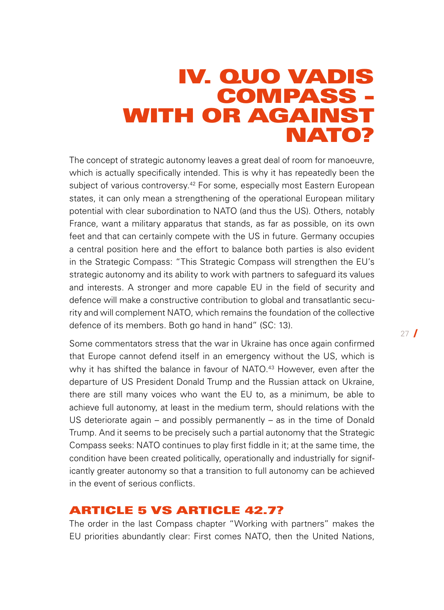## <span id="page-26-0"></span>IV. QUO VADIS COMPASS - WITH OR AGAINST NATO?

The concept of strategic autonomy leaves a great deal of room for manoeuvre, which is actually specifically intended. This is why it has repeatedly been the subject of various controversy.<sup>42</sup> For some, especially most Eastern European states, it can only mean a strengthening of the operational European military potential with clear subordination to NATO (and thus the US). Others, notably France, want a military apparatus that stands, as far as possible, on its own feet and that can certainly compete with the US in future. Germany occupies a central position here and the effort to balance both parties is also evident in the Strategic Compass: "This Strategic Compass will strengthen the EU's strategic autonomy and its ability to work with partners to safeguard its values and interests. A stronger and more capable EU in the field of security and defence will make a constructive contribution to global and transatlantic security and will complement NATO, which remains the foundation of the collective defence of its members. Both go hand in hand" (SC: 13).

Some commentators stress that the war in Ukraine has once again confirmed that Europe cannot defend itself in an emergency without the US, which is why it has shifted the balance in favour of NATO.<sup>43</sup> However, even after the departure of US President Donald Trump and the Russian attack on Ukraine, there are still many voices who want the EU to, as a minimum, be able to achieve full autonomy, at least in the medium term, should relations with the US deteriorate again – and possibly permanently – as in the time of Donald Trump. And it seems to be precisely such a partial autonomy that the Strategic Compass seeks: NATO continues to play first fiddle in it; at the same time, the condition have been created politically, operationally and industrially for significantly greater autonomy so that a transition to full autonomy can be achieved in the event of serious conflicts.

### ARTICLE 5 VS ARTICLE 42.7?

The order in the last Compass chapter "Working with partners" makes the EU priorities abundantly clear: First comes NATO, then the United Nations,  $27$   $\blacksquare$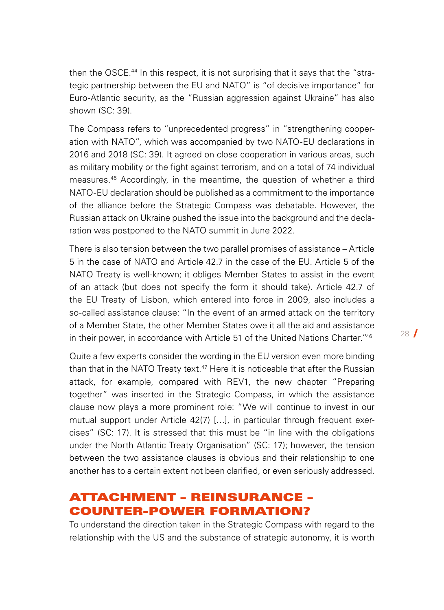then the OSCE[.44](#page-39-0) In this respect, it is not surprising that it says that the "strategic partnership between the EU and NATO" is "of decisive importance" for Euro-Atlantic security, as the "Russian aggression against Ukraine" has also shown (SC: 39).

The Compass refers to "unprecedented progress" in "strengthening cooperation with NATO", which was accompanied by two NATO-EU declarations in 2016 and 2018 (SC: 39). It agreed on close cooperation in various areas, such as military mobility or the fight against terrorism, and on a total of 74 individual measures[.45](#page-39-0) Accordingly, in the meantime, the question of whether a third NATO-EU declaration should be published as a commitment to the importance of the alliance before the Strategic Compass was debatable. However, the Russian attack on Ukraine pushed the issue into the background and the declaration was postponed to the NATO summit in June 2022.

There is also tension between the two parallel promises of assistance – Article 5 in the case of NATO and Article 42.7 in the case of the EU. Article 5 of the NATO Treaty is well-known; it obliges Member States to assist in the event of an attack (but does not specify the form it should take). Article 42.7 of the EU Treaty of Lisbon, which entered into force in 2009, also includes a so-called assistance clause: "In the event of an armed attack on the territory of a Member State, the other Member States owe it all the aid and assistance in their power, in accordance with Article 51 of the United Nations Charter.["46](#page-39-0)

Quite a few experts consider the wording in the EU version even more binding than that in the NATO Treaty text.<sup>47</sup> Here it is noticeable that after the Russian attack, for example, compared with REV1, the new chapter "Preparing together" was inserted in the Strategic Compass, in which the assistance clause now plays a more prominent role: "We will continue to invest in our mutual support under Article 42(7) […], in particular through frequent exercises" (SC: 17). It is stressed that this must be "in line with the obligations under the North Atlantic Treaty Organisation" (SC: 17); however, the tension between the two assistance clauses is obvious and their relationship to one another has to a certain extent not been clarified, or even seriously addressed.

## ATTACHMENT – REINSURANCE – COUNTER-POWER FORMATION?

To understand the direction taken in the Strategic Compass with regard to the relationship with the US and the substance of strategic autonomy, it is worth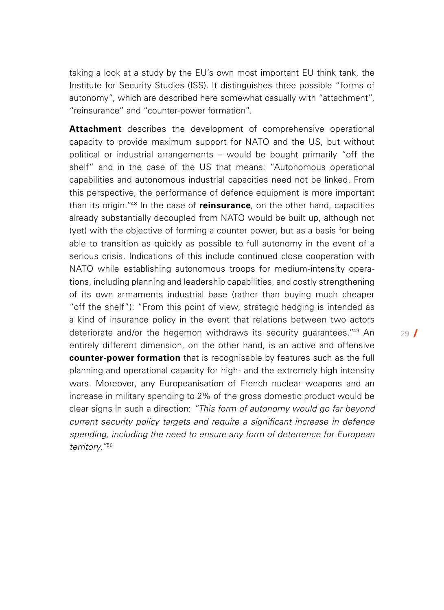taking a look at a study by the EU's own most important EU think tank, the Institute for Security Studies (ISS). It distinguishes three possible "forms of autonomy", which are described here somewhat casually with "attachment", "reinsurance" and "counter-power formation".

**Attachment** describes the development of comprehensive operational capacity to provide maximum support for NATO and the US, but without political or industrial arrangements – would be bought primarily "off the shelf" and in the case of the US that means: "Autonomous operational capabilities and autonomous industrial capacities need not be linked. From this perspective, the performance of defence equipment is more important than its origin.["48](#page-39-0) In the case of **reinsurance**, on the other hand, capacities already substantially decoupled from NATO would be built up, although not (yet) with the objective of forming a counter power, but as a basis for being able to transition as quickly as possible to full autonomy in the event of a serious crisis. Indications of this include continued close cooperation with NATO while establishing autonomous troops for medium-intensity operations, including planning and leadership capabilities, and costly strengthening of its own armaments industrial base (rather than buying much cheaper "off the shelf"): "From this point of view, strategic hedging is intended as a kind of insurance policy in the event that relations between two actors deteriorate and/or the hegemon withdraws its security guarantees.<sup>["49](#page-39-0)</sup> An entirely different dimension, on the other hand, is an active and offensive **counter-power formation** that is recognisable by features such as the full planning and operational capacity for high- and the extremely high intensity wars. Moreover, any Europeanisation of French nuclear weapons and an increase in military spending to 2% of the gross domestic product would be clear signs in such a direction: *"This form of autonomy would go far beyond current security policy targets and require a significant increase in defence spending, including the need to ensure any form of deterrence for European territory."*[50](#page-39-0)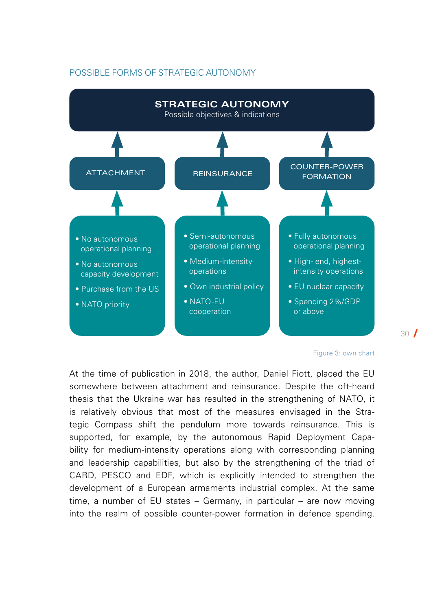#### POSSIBLE FORMS OF STRATEGIC AUTONOMY



#### Figure 3: own chart

30 /

At the time of publication in 2018, the author, Daniel Fiott, placed the EU somewhere between attachment and reinsurance. Despite the oft-heard thesis that the Ukraine war has resulted in the strengthening of NATO, it is relatively obvious that most of the measures envisaged in the Strategic Compass shift the pendulum more towards reinsurance. This is supported, for example, by the autonomous Rapid Deployment Capability for medium-intensity operations along with corresponding planning and leadership capabilities, but also by the strengthening of the triad of CARD, PESCO and EDF, which is explicitly intended to strengthen the development of a European armaments industrial complex. At the same time, a number of EU states – Germany, in particular – are now moving into the realm of possible counter-power formation in defence spending.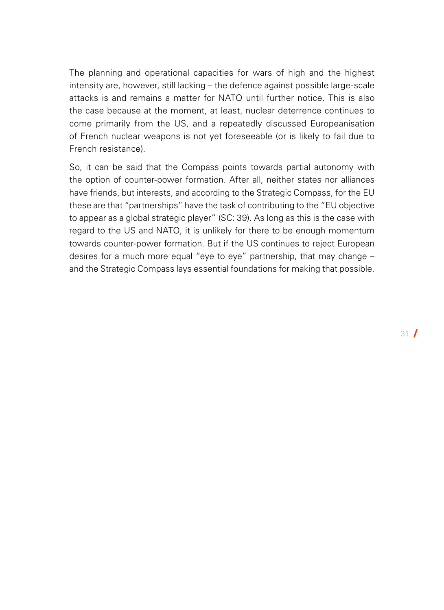The planning and operational capacities for wars of high and the highest intensity are, however, still lacking – the defence against possible large-scale attacks is and remains a matter for NATO until further notice. This is also the case because at the moment, at least, nuclear deterrence continues to come primarily from the US, and a repeatedly discussed Europeanisation of French nuclear weapons is not yet foreseeable (or is likely to fail due to French resistance).

So, it can be said that the Compass points towards partial autonomy with the option of counter-power formation. After all, neither states nor alliances have friends, but interests, and according to the Strategic Compass, for the EU these are that "partnerships" have the task of contributing to the "EU objective to appear as a global strategic player" (SC: 39). As long as this is the case with regard to the US and NATO, it is unlikely for there to be enough momentum towards counter-power formation. But if the US continues to reject European desires for a much more equal "eye to eye" partnership, that may change – and the Strategic Compass lays essential foundations for making that possible.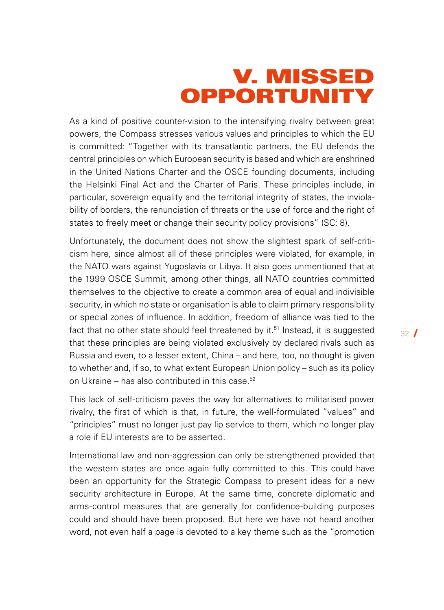## V. MISSED OPPORTUNITY

<span id="page-31-0"></span>As a kind of positive counter-vision to the intensifying rivalry between great powers, the Compass stresses various values and principles to which the EU is committed: "Together with its transatlantic partners, the EU defends the central principles on which European security is based and which are enshrined in the United Nations Charter and the OSCE founding documents, including the Helsinki Final Act and the Charter of Paris. These principles include, in particular, sovereign equality and the territorial integrity of states, the inviolability of borders, the renunciation of threats or the use of force and the right of states to freely meet or change their security policy provisions" (SC: 8).

Unfortunately, the document does not show the slightest spark of self-criticism here, since almost all of these principles were violated, for example, in the NATO wars against Yugoslavia or Libya. It also goes unmentioned that at the 1999 OSCE Summit, among other things, all NATO countries committed themselves to the objective to create a common area of equal and indivisible security, in which no state or organisation is able to claim primary responsibility or special zones of influence. In addition, freedom of alliance was tied to the fact that no other state should feel threatened by it.<sup>51</sup> Instead, it is suggested that these principles are being violated exclusively by declared rivals such as Russia and even, to a lesser extent, China – and here, too, no thought is given to whether and, if so, to what extent European Union policy – such as its policy on Ukraine – has also contributed in this case.<sup>[52](#page-39-0)</sup>

This lack of self-criticism paves the way for alternatives to militarised power rivalry, the first of which is that, in future, the well-formulated "values" and "principles" must no longer just pay lip service to them, which no longer play a role if EU interests are to be asserted.

International law and non-aggression can only be strengthened provided that the western states are once again fully committed to this. This could have been an opportunity for the Strategic Compass to present ideas for a new security architecture in Europe. At the same time, concrete diplomatic and arms-control measures that are generally for confidence-building purposes could and should have been proposed. But here we have not heard another word, not even half a page is devoted to a key theme such as the "promotion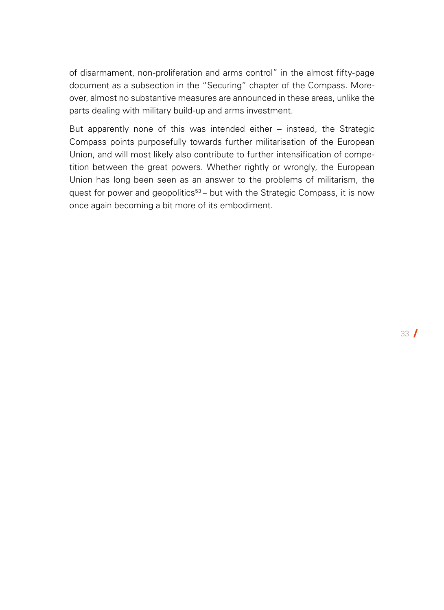of disarmament, non-proliferation and arms control" in the almost fifty-page document as a subsection in the "Securing" chapter of the Compass. Moreover, almost no substantive measures are announced in these areas, unlike the parts dealing with military build-up and arms investment.

But apparently none of this was intended either – instead, the Strategic Compass points purposefully towards further militarisation of the European Union, and will most likely also contribute to further intensification of competition between the great powers. Whether rightly or wrongly, the European Union has long been seen as an answer to the problems of militarism, the quest for power and geopolitics<sup>53</sup> – but with the Strategic Compass, it is now once again becoming a bit more of its embodiment.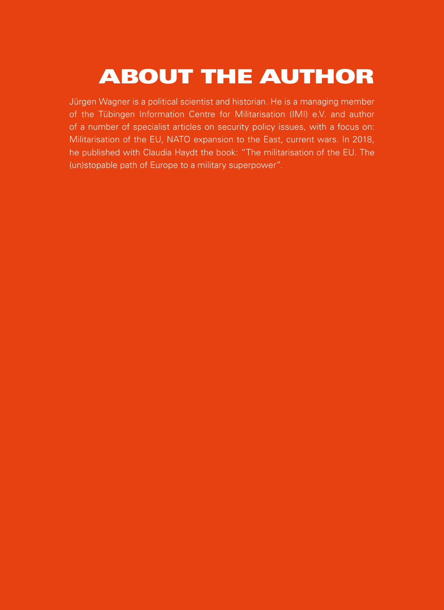# <span id="page-33-0"></span>ABOUT THE AUTHOR

Jürgen Wagner is a political scientist and historian. He is a managing member of the Tübingen Information Centre for Militarisation (IMI) e.V. and author of a number of specialist articles on security policy issues, with a focus on: Militarisation of the EU, NATO expansion to the East, current wars. In 2018, he published with Claudia Haydt the book: "The militarisation of the EU. The (un)stopable path of Europe to a military superpower".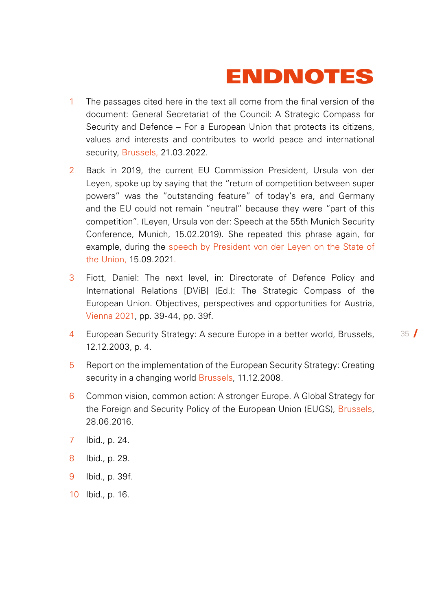# ENDNOTES

- <span id="page-34-0"></span>1 The passages cited here in the text all come from the final version of the document: General Secretariat of the Council: A Strategic Compass for Security and Defence – For a European Union that protects its citizens, values and interests and contributes to world peace and international security, [Brussels](https://data.consilium.europa.eu/doc/document/ST-7371-2022-INIT/de/pdf), 21.03.2022.
- [2](#page-3-0) Back in 2019, the current EU Commission President, Ursula von der Leyen, spoke up by saying that the "return of competition between super powers" was the "outstanding feature" of today's era, and Germany and the EU could not remain "neutral" because they were "part of this competition". (Leyen, Ursula von der: Speech at the 55th Munich Security Conference, [Munich,](https://www.bmvg.de/resource/blob/32536/c2698fc469931889aafdb65ac0b31101/20190215-rede-ministerin-msc-data.pdf) 15.02.2019). She repeated this phrase again, for example, during the [speech by President von der Leyen on the State of](https://ec.europa.eu/commission/presscorner/detail/de/SPEECH_21_4701)  [the Union](https://ec.europa.eu/commission/presscorner/detail/de/SPEECH_21_4701), 15.09.2021.
- [3](#page-5-0) Fiott, Daniel: The next level, in: Directorate of Defence Policy and International Relations [DViB] (Ed.): The Strategic Compass of the European Union. Objectives, perspectives and opportunities for Austria, [Vienna 2021,](https://www.aspr.ac.at/fileadmin/Downloads/Publikationen/Publikationen_ab_2015/strategischer_kompass.pdf) pp. 39-44, pp. 39f.
- [4](#page-5-0) European Security Strategy: A secure Europe in a better world, Brussels, 12.12.2003, p. 4.

- [5](#page-5-0) Report on the implementation of the European Security Strategy: Creating security in a changing world [Brussels,](https://www.consilium.europa.eu/ueDocs/cms_Data/docs/pressdata/DE/reports/104634.pdf) 11.12.2008.
- [6](#page-6-0) Common vision, common action: A stronger Europe. A Global Strategy for the Foreign and Security Policy of the European Union (EUGS), [Brussels](http://data.consilium.europa.eu/doc/document/ST-10715-2016-INIT/de/pdf), 28.06.2016.
- [7](#page-6-0) Ibid., p. 24.
- 8 Ibid., p. 29.
- 9 Ibid., p. 39f.
- 10 Ibid., p. 16.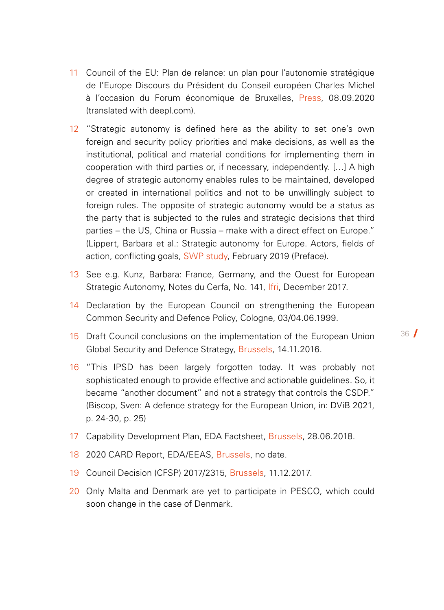- <span id="page-35-0"></span>11 Council of the EU: Plan de relance: un plan pour l'autonomie stratégique de l'Europe Discours du Président du Conseil européen Charles Michel à l'occasion du Forum économique de Bruxelles, [Press](https://club.bruxelles2.eu/wp-content/uploads/speechcharlesmichelforumecobruxelles@ue200908.pdf), 08.09.2020 (translated with deepl.com).
- 12 "Strategic autonomy is defined here as the ability to set one's own foreign and security policy priorities and make decisions, as well as the institutional, political and material conditions for implementing them in cooperation with third parties or, if necessary, independently. […] A high degree of strategic autonomy enables rules to be maintained, developed or created in international politics and not to be unwillingly subject to foreign rules. The opposite of strategic autonomy would be a status as the party that is subjected to the rules and strategic decisions that third parties – the US, China or Russia – make with a direct effect on Europe." (Lippert, Barbara et al.: Strategic autonomy for Europe. Actors, fields of action, conflicting goals, [SWP study](https://www.swp-berlin.org/fileadmin/contents/products/studien/2019S02_lpt_orz_prt.pdf), February 2019 (Preface).
- 13 See e.g. Kunz, Barbara: France, Germany, and the Quest for European Strategic Autonomy, Notes du Cerfa, No. 141, [Ifri,](https://www.ifri.org/en/publications/notes-de-lifri/notes-cerfa/france-germany-and-quest-european-strategic-autonomy-franco) December 2017.
- 14 Declaration by the European Council on strengthening the European Common Security and Defence Policy, Cologne, 03/04.06.1999.
- 15 Draft Council conclusions on the implementation of the European Union Global Security and Defence Strategy, [Brussels](https://data.consilium.europa.eu/doc/document/ST-14009-2016-INIT/de/pdf), 14.11.2016.
- 16 "This IPSD has been largely forgotten today. It was probably not sophisticated enough to provide effective and actionable guidelines. So, it became "another document" and not a strategy that controls the CSDP." (Biscop, Sven: A defence strategy for the European Union, in: DViB 2021, p. 24-30, p. 25)
- 17 Capability Development Plan, EDA Factsheet, [Brussels](https://eda.europa.eu/docs/default-source/eda-factsheets/2018-06-28-factsheet_cdpb020b03fa4d264cfa776ff000087ef0f), 28.06.2018.
- 18 2020 CARD Report, EDA/EEAS, [Brussels,](https://eda.europa.eu/docs/default-source/reports/card-2020-executive-summary-report.pdf) no date.
- 19 Council Decision (CFSP) 2017/2315, [Brussels,](https://eur-lex.europa.eu/legal-content/DE/TXT/PDF/?uri=CELEX:32017D2315&from=EN) 11.12.2017.
- 20 Only Malta and Denmark are yet to participate in PESCO, which could soon change in the case of Denmark.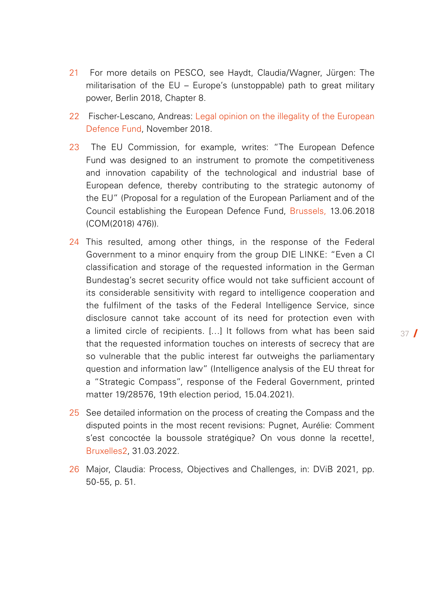- <span id="page-36-0"></span>21 For more details on PESCO, see Haydt, Claudia/Wagner, Jürgen: The militarisation of the EU – Europe's (unstoppable) path to great military power, Berlin 2018, Chapter 8.
- 22 Fischer-Lescano, Andreas: Legal opinion on the illegality of the European [Defence Fund,](https://oezlem-alev-demirel.de/wp-content/uploads/2019/10/EVF-Gutachten_2018_November30.pdf) November 2018.
- 23 The EU Commission, for example, writes: "The European Defence Fund was designed to an instrument to promote the competitiveness and innovation capability of the technological and industrial base of European defence, thereby contributing to the strategic autonomy of the EU" (Proposal for a regulation of the European Parliament and of the Council establishing the European Defence Fund, [Brussels,](https://eur-lex.europa.eu/legal-content/DE/TXT/HTML/?uri=CELEX:52018PC0476&from=EN) 13.06.2018 (COM(2018) 476)).
- 24 This resulted, among other things, in the response of the Federal Government to a minor enquiry from the group DIE LINKE: "Even a CI classification and storage of the requested information in the German Bundestag's secret security office would not take sufficient account of its considerable sensitivity with regard to intelligence cooperation and the fulfilment of the tasks of the Federal Intelligence Service, since disclosure cannot take account of its need for protection even with a limited circle of recipients. […] It follows from what has been said that the requested information touches on interests of secrecy that are so vulnerable that the public interest far outweighs the parliamentary question and information law" (Intelligence analysis of the EU threat for a "Strategic Compass", response of the Federal Government, printed matter 19/28576, 19th election period, 15.04.2021).
- 25 See detailed information on the process of creating the Compass and the disputed points in the most recent revisions: Pugnet, Aurélie: Comment s'est concoctée la boussole stratégique? On vous donne la recette!, [Bruxelles2](https://club.bruxelles2.eu/2022/03/comment-sest-concoctee-la-boussole-strategique-on-vous-donne-la-recette/), 31.03.2022.
- 26 Major, Claudia: Process, Objectives and Challenges, in: DViB 2021, pp. 50-55, p. 51.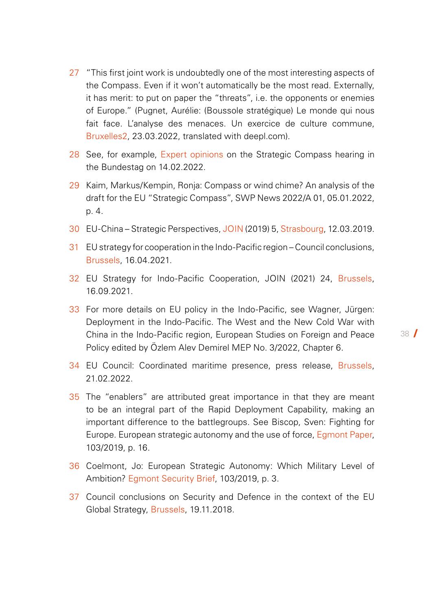- <span id="page-37-0"></span>27 "This first joint work is undoubtedly one of the most interesting aspects of the Compass. Even if it won't automatically be the most read. Externally, it has merit: to put on paper the "threats", i.e. the opponents or enemies of Europe." (Pugnet, Aurélie: (Boussole stratégique) Le monde qui nous fait face. L'analyse des menaces. Un exercice de culture commune, [Bruxelles2](https://club.bruxelles2.eu/2022/03/boussole-strategique-le-monde-qui-nous-fait-face-lanalyse-des-menaces-un-exercice-de-culture-commune/), 23.03.2022, translated with deepl.com).
- 28 See, for example, [Expert opinions](https://www.bundestag.de/dokumente/textarchiv/2022/kw07-pa-auswaertiges-880136) on the Strategic Compass hearing in the Bundestag on 14.02.2022.
- 29 Kaim, Markus/Kempin, Ronja: Compass or wind chime? An analysis of the draft for the EU "Strategic Compass", SWP News 2022/A 01, 05.01.2022, p. 4.
- 30 EU-China Strategic Perspectives, [JOIN](https://ec.europa.eu/info/sites/default/files/communication-eu-china-a-strategic-outlook_de.pdf) (2019) 5, [Strasbourg,](https://ec.europa.eu/info/sites/default/files/communication-eu-china-a-strategic-outlook_de.pdf) 12.03.2019.
- 31 EU strategy for cooperation in the Indo-Pacific region Council conclusions, [Brussels,](https://data.consilium.europa.eu/doc/document/ST-7914-2021-INIT/de/pdf) 16.04.2021.
- 32 EU Strategy for Indo-Pacific Cooperation, JOIN (2021) 24, [Brussels](https://eur-lex.europa.eu/legal-content/DE/TXT/PDF/?uri=CELEX:52021JC0024&qid=1634291791020&from=EN), 16.09.2021.
- 33 For more details on EU policy in the Indo-Pacific, see Wagner, Jürgen: Deployment in the Indo-Pacific. The West and the New Cold War with China in the Indo-Pacific region, European Studies on Foreign and Peace Policy edited by Özlem Alev Demirel MEP No. 3/2022, Chapter 6.
- 34 EU Council: Coordinated maritime presence, press release[, Brussels](https://www.consilium.europa.eu/de/press/press-releases/2022/02/21/coordinated-maritime-presences-council-extends-implementation-in-the-gulf-of-guinea-for-2-years-and-establishes-a-new-concept-in-the-north-west-indian-ocean/?utm_source=dsms-auto&utm_medium=email&utm_campaign=Coordinated%20Maritime%20Presences:%20Council%20extends%20implementation%20in%20the%20Gulf%20of%20Guinea%20for%20two%20years%20and%20establishes%20a%20new%20Maritime%20Area%20of%20Interest%20in%20the%20North-Western%20Indian%20Ocean), 21.02.2022.
- 35 The "enablers" are attributed great importance in that they are meant to be an integral part of the Rapid Deployment Capability, making an important difference to the battlegroups. See Biscop, Sven: Fighting for Europe. European strategic autonomy and the use of force, [Egmont Paper](https://www.egmontinstitute.be/content/uploads/2019/01/EP103.pdf?type=pdf), 103/2019, p. 16.
- 36 Coelmont, Jo: European Strategic Autonomy: Which Military Level of Ambition? [Egmont Security Brief,](http://www.egmontinstitute.be/content/uploads/2019/03/SPB109.pdf?type=pdf) 103/2019, p. 3.
- 37 Council conclusions on Security and Defence in the context of the EU Global Strategy, [Brussels,](https://www.consilium.europa.eu/media/37030/st13978-en18.pdf) 19.11.2018.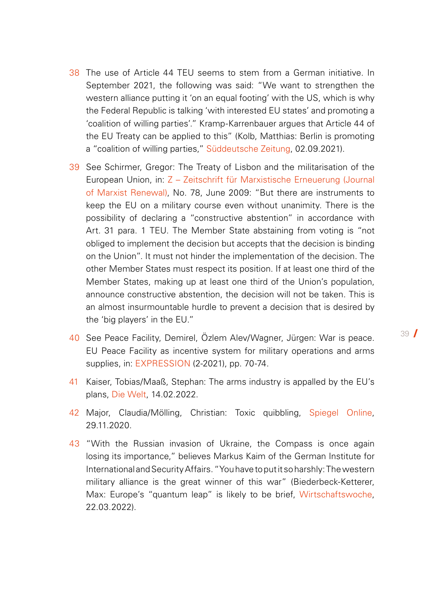- <span id="page-38-0"></span>38 The use of Article 44 TEU seems to stem from a German initiative. In September 2021, the following was said: "We want to strengthen the western alliance putting it 'on an equal footing' with the US, which is why the Federal Republic is talking 'with interested EU states' and promoting a 'coalition of willing parties'." Kramp-Karrenbauer argues that Article 44 of the EU Treaty can be applied to this" (Kolb, Matthias: Berlin is promoting a "coalition of willing parties," [Süddeutsche Zeitung,](https://www.sueddeutsche.de/politik/eu-sicherheitspolitik-berlin-wirbt-fuer-koalition-der-willigen-1.5399776) 02.09.2021).
- 39 See Schirmer, Gregor: The Treaty of Lisbon and the militarisation of the European Union, in: [Z – Zeitschrift für Marxistische Erneuerung \(Journal](http://www.zeitschrift-marxistische-erneuerung.de/article/511.der-vertrag-von-lissabon-und-die-militarisierung-der-europaeischen-union.html)  [of Marxist Renewal\),](http://www.zeitschrift-marxistische-erneuerung.de/article/511.der-vertrag-von-lissabon-und-die-militarisierung-der-europaeischen-union.html) No. 78, June 2009: "But there are instruments to keep the EU on a military course even without unanimity. There is the possibility of declaring a "constructive abstention" in accordance with Art. 31 para. 1 TEU. The Member State abstaining from voting is "not obliged to implement the decision but accepts that the decision is binding on the Union". It must not hinder the implementation of the decision. The other Member States must respect its position. If at least one third of the Member States, making up at least one third of the Union's population, announce constructive abstention, the decision will not be taken. This is an almost insurmountable hurdle to prevent a decision that is desired by the 'big players' in the EU."
- 40 See Peace Facility, Demirel, Özlem Alev/Wagner, Jürgen: War is peace. EU Peace Facility as incentive system for military operations and arms supplies, in: [EXPRESSION](https://www.dielinke-europa.eu/de/article/12996.krieg-ist-frieden.html) (2-2021), pp. 70-74.
- 41 Kaiser, Tobias/Maaß, Stephan: The arms industry is appalled by the EU's plans, [Die Welt](https://www.welt.de/wirtschaft/article236907137/Soziale-Taxonomie-EU-Plaene-sind-der-Ruestungsindustrie-ein-Dorn-im-Auge.html), 14.02.2022.
- 42 Major, Claudia/Mölling, Christian: Toxic quibbling, [Spiegel Online](https://www.spiegel.de/ausland/eu-und-die-strategische-autonomie-toxische-wortklauberei-a-77a58db9-6dac-48c9-8aa0-8073215234f2), 29.11.2020.
- 43 "With the Russian invasion of Ukraine, the Compass is once again losing its importance," believes Markus Kaim of the German Institute for International and Security Affairs. "You have to put it so harshly: The western military alliance is the great winner of this war" (Biederbeck-Ketterer, Max: Europe's "quantum leap" is likely to be brief, [Wirtschaftswoche](https://www.wiwo.de/politik/deutschland/strategischer-kompass-nach-ukraine-invasion-europas-quantensprung-duerfte-kurz-ausfallen/28187362.html), 22.03.2022).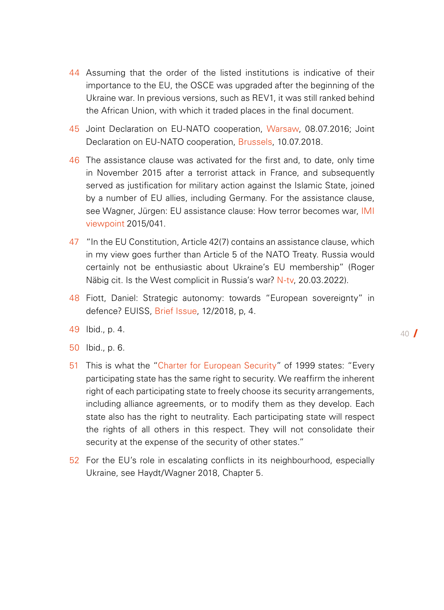- <span id="page-39-0"></span>44 Assuming that the order of the listed institutions is indicative of their importance to the EU, the OSCE was upgraded after the beginning of the Ukraine war. In previous versions, such as REV1, it was still ranked behind the African Union, with which it traded places in the final document.
- 45 Joint Declaration on EU-NATO cooperation, [Warsaw](https://www.consilium.europa.eu/de/press/press-releases/2016/07/08/eu-nato-joint-declaration/), 08.07.2016; Joint Declaration on EU-NATO cooperation, [Brussels](https://www.consilium.europa.eu/de/press/press-releases/2018/07/10/eu-nato-joint-declaration/), 10.07.2018.
- 46 The assistance clause was activated for the first and, to date, only time in November 2015 after a terrorist attack in France, and subsequently served as justification for military action against the Islamic State, joined by a number of EU allies, including Germany. For the assistance clause, see Wagner, Jürgen: EU assistance clause: How terror becomes war, IMI [viewpoint](https://www.imi-online.de/2015/11/26/eu-beistandsklausel-wie-terror-zum-krieg-wird/) 2015/041.
- 47 "In the EU Constitution, Article 42(7) contains an assistance clause, which in my view goes further than Article 5 of the NATO Treaty. Russia would certainly not be enthusiastic about Ukraine's EU membership" (Roger Näbig cit. Is the West complicit in Russia's war? [N-tv,](https://www.n-tv.de/politik/Traegt-der-Westen-eine-Mitschuld-an-Russlands-Krieg-article23208433.html) 20.03.2022).
- 48 Fiott, Daniel: Strategic autonomy: towards "European sovereignty" in defence? EUISS, [Brief Issue](https://www.iss.europa.eu/sites/default/files/EUISSFiles/Brief%2012__Strategic%20Autonomy.pdf), 12/2018, p, 4.
- 49 Ibid., p. 4.
- 50 Ibid., p. 6.
- 51 This is what the ["Charter for European Security](https://www.osce.org/files/f/documents/1/5/39571.pdf)" of 1999 states: "Every participating state has the same right to security. We reaffirm the inherent right of each participating state to freely choose its security arrangements, including alliance agreements, or to modify them as they develop. Each state also has the right to neutrality. Each participating state will respect the rights of all others in this respect. They will not consolidate their security at the expense of the security of other states."
- 52 For the EU's role in escalating conflicts in its neighbourhood, especially Ukraine, see Haydt/Wagner 2018, Chapter 5.

 $40<sup>7</sup>$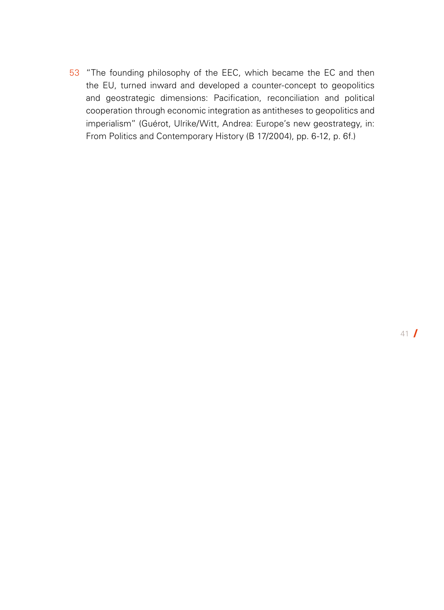<span id="page-40-0"></span>53 "The founding philosophy of the EEC, which became the EC and then the EU, turned inward and developed a counter-concept to geopolitics and geostrategic dimensions: Pacification, reconciliation and political cooperation through economic integration as antitheses to geopolitics and imperialism" (Guérot, Ulrike/Witt, Andrea: Europe's new geostrategy, in: From Politics and Contemporary History (B 17/2004), pp. 6-12, p. 6f.)

41 /